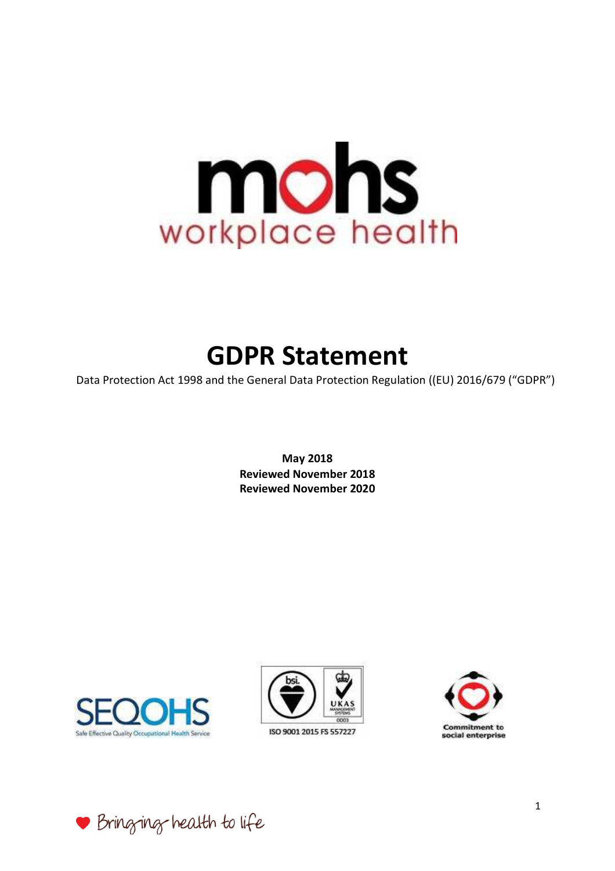

# **GDPR Statement**

Data Protection Act 1998 and the General Data Protection Regulation ((EU) 2016/679 ("GDPR")

**May 2018 Reviewed November 2018 Reviewed November 2020**





ISO 9001 2015 FS 557227



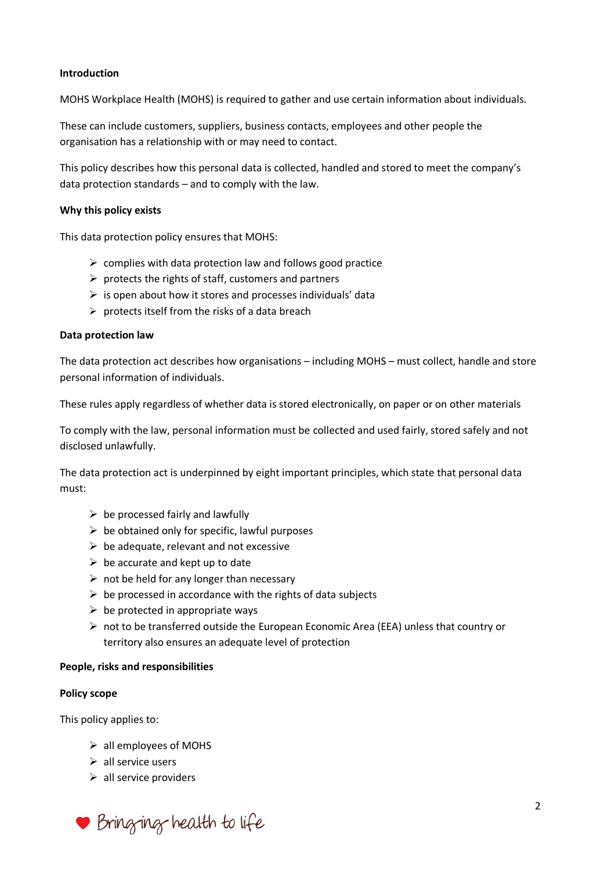# **Introduction**

MOHS Workplace Health (MOHS) is required to gather and use certain information about individuals.

These can include customers, suppliers, business contacts, employees and other people the organisation has a relationship with or may need to contact.

This policy describes how this personal data is collected, handled and stored to meet the company's data protection standards – and to comply with the law.

## **Why this policy exists**

This data protection policy ensures that MOHS:

- $\triangleright$  complies with data protection law and follows good practice
- $\triangleright$  protects the rights of staff, customers and partners
- $\triangleright$  is open about how it stores and processes individuals' data
- $\triangleright$  protects itself from the risks of a data breach

### **Data protection law**

The data protection act describes how organisations – including MOHS – must collect, handle and store personal information of individuals.

These rules apply regardless of whether data is stored electronically, on paper or on other materials

To comply with the law, personal information must be collected and used fairly, stored safely and not disclosed unlawfully.

The data protection act is underpinned by eight important principles, which state that personal data must:

- $\triangleright$  be processed fairly and lawfully
- $\triangleright$  be obtained only for specific, lawful purposes
- $\triangleright$  be adequate, relevant and not excessive
- $\triangleright$  be accurate and kept up to date
- $\triangleright$  not be held for any longer than necessary
- $\triangleright$  be processed in accordance with the rights of data subjects
- $\triangleright$  be protected in appropriate ways
- not to be transferred outside the European Economic Area (EEA) unless that country or territory also ensures an adequate level of protection

#### **People, risks and responsibilities**

#### **Policy scope**

This policy applies to:

- $\triangleright$  all employees of MOHS
- $\triangleright$  all service users
- $\triangleright$  all service providers

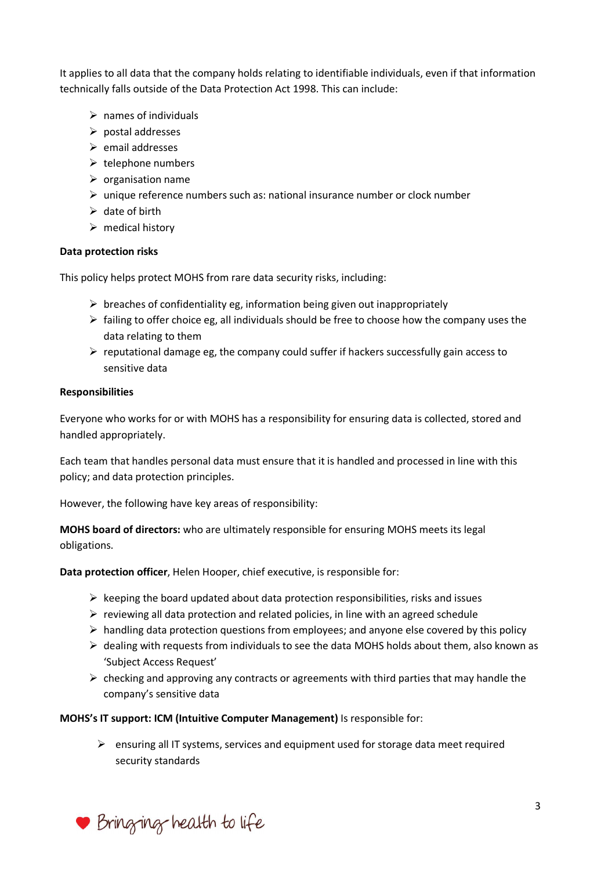It applies to all data that the company holds relating to identifiable individuals, even if that information technically falls outside of the Data Protection Act 1998. This can include:

- $\triangleright$  names of individuals
- $\triangleright$  postal addresses
- $\triangleright$  email addresses
- $\triangleright$  telephone numbers
- $\triangleright$  organisation name
- $\triangleright$  unique reference numbers such as: national insurance number or clock number
- $\triangleright$  date of birth
- $\triangleright$  medical history

#### **Data protection risks**

This policy helps protect MOHS from rare data security risks, including:

- $\triangleright$  breaches of confidentiality eg, information being given out inappropriately
- $\triangleright$  failing to offer choice eg, all individuals should be free to choose how the company uses the data relating to them
- $\triangleright$  reputational damage eg, the company could suffer if hackers successfully gain access to sensitive data

#### **Responsibilities**

Everyone who works for or with MOHS has a responsibility for ensuring data is collected, stored and handled appropriately.

Each team that handles personal data must ensure that it is handled and processed in line with this policy; and data protection principles.

However, the following have key areas of responsibility:

**MOHS board of directors:** who are ultimately responsible for ensuring MOHS meets its legal obligations.

**Data protection officer**, Helen Hooper, chief executive, is responsible for:

- $\triangleright$  keeping the board updated about data protection responsibilities, risks and issues
- $\triangleright$  reviewing all data protection and related policies, in line with an agreed schedule
- $\triangleright$  handling data protection questions from employees; and anyone else covered by this policy
- $\triangleright$  dealing with requests from individuals to see the data MOHS holds about them, also known as 'Subject Access Request'
- $\triangleright$  checking and approving any contracts or agreements with third parties that may handle the company's sensitive data

#### **MOHS's IT support: ICM (Intuitive Computer Management)** Is responsible for:

 $\triangleright$  ensuring all IT systems, services and equipment used for storage data meet required security standards

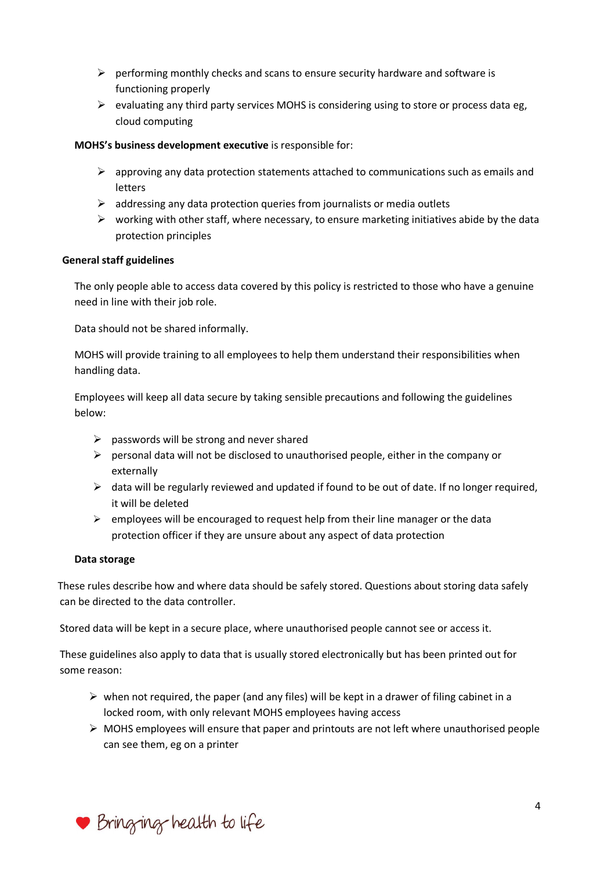- $\triangleright$  performing monthly checks and scans to ensure security hardware and software is functioning properly
- $\triangleright$  evaluating any third party services MOHS is considering using to store or process data eg, cloud computing

# **MOHS's business development executive** is responsible for:

- $\triangleright$  approving any data protection statements attached to communications such as emails and letters
- $\triangleright$  addressing any data protection queries from journalists or media outlets
- $\triangleright$  working with other staff, where necessary, to ensure marketing initiatives abide by the data protection principles

#### **General staff guidelines**

The only people able to access data covered by this policy is restricted to those who have a genuine need in line with their job role.

Data should not be shared informally.

MOHS will provide training to all employees to help them understand their responsibilities when handling data.

Employees will keep all data secure by taking sensible precautions and following the guidelines below:

- $\triangleright$  passwords will be strong and never shared
- $\triangleright$  personal data will not be disclosed to unauthorised people, either in the company or externally
- $\triangleright$  data will be regularly reviewed and updated if found to be out of date. If no longer required, it will be deleted
- $\triangleright$  employees will be encouraged to request help from their line manager or the data protection officer if they are unsure about any aspect of data protection

#### **Data storage**

 These rules describe how and where data should be safely stored. Questions about storing data safely can be directed to the data controller.

Stored data will be kept in a secure place, where unauthorised people cannot see or access it.

These guidelines also apply to data that is usually stored electronically but has been printed out for some reason:

- $\triangleright$  when not required, the paper (and any files) will be kept in a drawer of filing cabinet in a locked room, with only relevant MOHS employees having access
- $\triangleright$  MOHS employees will ensure that paper and printouts are not left where unauthorised people can see them, eg on a printer

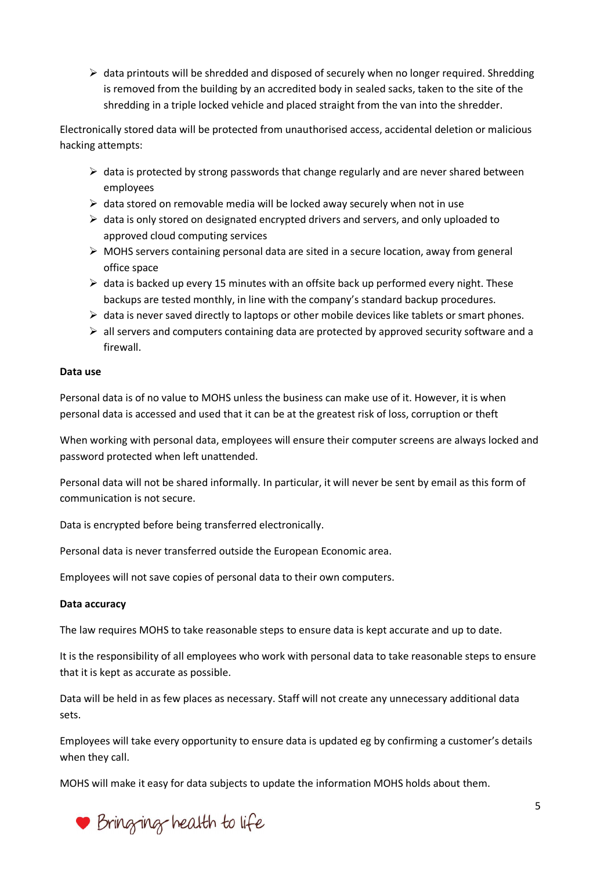$\triangleright$  data printouts will be shredded and disposed of securely when no longer required. Shredding is removed from the building by an accredited body in sealed sacks, taken to the site of the shredding in a triple locked vehicle and placed straight from the van into the shredder.

Electronically stored data will be protected from unauthorised access, accidental deletion or malicious hacking attempts:

- $\triangleright$  data is protected by strong passwords that change regularly and are never shared between employees
- $\triangleright$  data stored on removable media will be locked away securely when not in use
- $\triangleright$  data is only stored on designated encrypted drivers and servers, and only uploaded to approved cloud computing services
- $\triangleright$  MOHS servers containing personal data are sited in a secure location, away from general office space
- $\triangleright$  data is backed up every 15 minutes with an offsite back up performed every night. These backups are tested monthly, in line with the company's standard backup procedures.
- $\triangleright$  data is never saved directly to laptops or other mobile devices like tablets or smart phones.
- $\triangleright$  all servers and computers containing data are protected by approved security software and a firewall.

# **Data use**

Personal data is of no value to MOHS unless the business can make use of it. However, it is when personal data is accessed and used that it can be at the greatest risk of loss, corruption or theft

When working with personal data, employees will ensure their computer screens are always locked and password protected when left unattended.

Personal data will not be shared informally. In particular, it will never be sent by email as this form of communication is not secure.

Data is encrypted before being transferred electronically.

Personal data is never transferred outside the European Economic area.

Employees will not save copies of personal data to their own computers.

# **Data accuracy**

The law requires MOHS to take reasonable steps to ensure data is kept accurate and up to date.

It is the responsibility of all employees who work with personal data to take reasonable steps to ensure that it is kept as accurate as possible.

Data will be held in as few places as necessary. Staff will not create any unnecessary additional data sets.

Employees will take every opportunity to ensure data is updated eg by confirming a customer's details when they call.

MOHS will make it easy for data subjects to update the information MOHS holds about them.